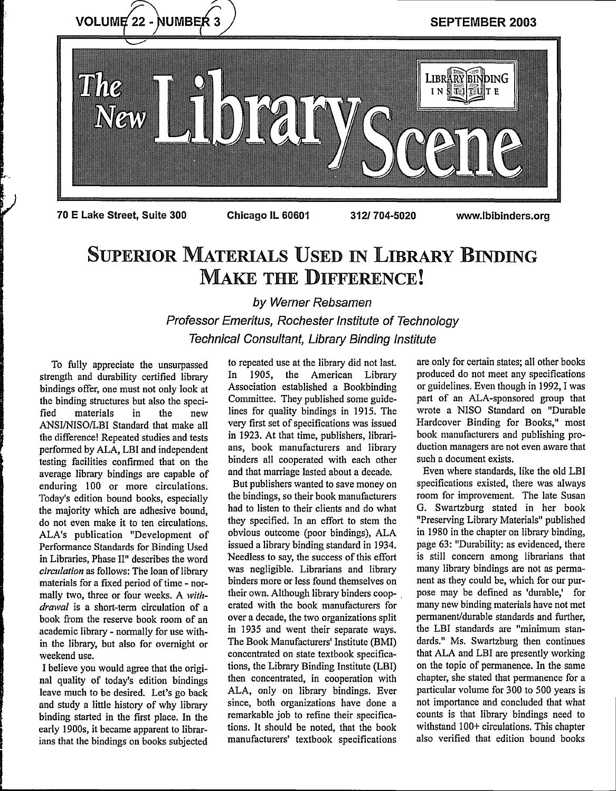

# SUPERIOR MATERIALS USED **iN** LIBRARY BINDING MAKE THE DIFFERENCE!

by Werner Rebsamen Professor Emeritus, Rochester Institute of Technology Technical Consultant, Library Binding Institute

To fully appreciate the unsurpassed strength and durability certified library bindings offer, one must not only look at the binding structures but also the speci-<br>fied materials in the new materials in the new ANSI/NISO/LBI Standard that make all the difference! Repeated studies and tests performed by ALA, LBI and independent testing facilities confirmed that on the average library bindings are capable of enduring 100 or more circulations. Today's edition bound books, especially the majority which are adhesive bound, do not even make it to ten circulations. ALA's publication "Development of Performance Standards for Binding Used in Libraries, Phase II" describes the word *circulation* as follows: The loan of library materials for a fixed period of time - normally two, three or four weeks. A *withdrawal* is a short-term circulation of a book from the reserve book room of an academic library - normally for use within the library, but also for overnight or weekend use.

I believe you would agree that the original quality of today's edition bindings leave much to be desired. Let's go back and study a little history of why library binding started in the first place. In the early 1900s, it became apparent to librarians that the bindings on books subjected

to repeated use at the library did not last. In 1905, the American Library Association established a Bookbinding Committee. They published some guidelines for quality bindings in 1915. The very first set of specifications was issued in 1923. At that time, publishers, librarians, book manufacturers and library binders all cooperated with each other and that marriage lasted about a decade.

But publishers wanted to save money on the bindings, so their book manufacturers had to listen to their clients and do what they specified. In an effort to stem the obvious outcome (poor bindings), ALA issued a library binding standard in 1934. Needless to say, the success of this effort was negligible. Librarians and library binders more or less found themselves on their own. Although library binders cooperated with the book manufacturers for over a decade, the two organizations split in 1935 and went their separate ways. The Book Manufacturers' Institute (BMI) concentrated on state textbook specifications, the Library Binding Institute (LBI) then concentrated, in cooperation with ALA, only on library bindings. Ever since, both organizations have done a remarkable job to refine their specifications. It should be noted, that the book manufacturers' textbook specifications

are only for certain states; all other books produced do not meet any specifications or guidelines. Even though in 1992, 1 was part of an ALA-sponsored group that wrote a NISO Standard on "Durable Hardcover Binding for Books," most book manufacturers and publishing production managers are not even aware that such a document exists.

Even where standards, like the old LBI specifications existed, there was always room for improvement. The late Susan G. Swartzburg stated in her book "Preserving Library Materials" published in 1980 in the chapter on library binding, page 63: "Durability: as evidenced, there is still concern among librarians that many library bindings are not as permanent as they could be, which for our purpose may be defined as 'durable,' for many new binding materials have not met permanent/durable standards and further, the LBI standards are "minimum standards." Ms. Swartzburg then continues that ALA and LBI are presently working on the topic of permanence. In the same chapter, she stated that permanence for a particular volume for 300 to 500 years is not importance and concluded that what counts is that library bindings need to withstand 100+ circulations. This chapter also verified that edition bound books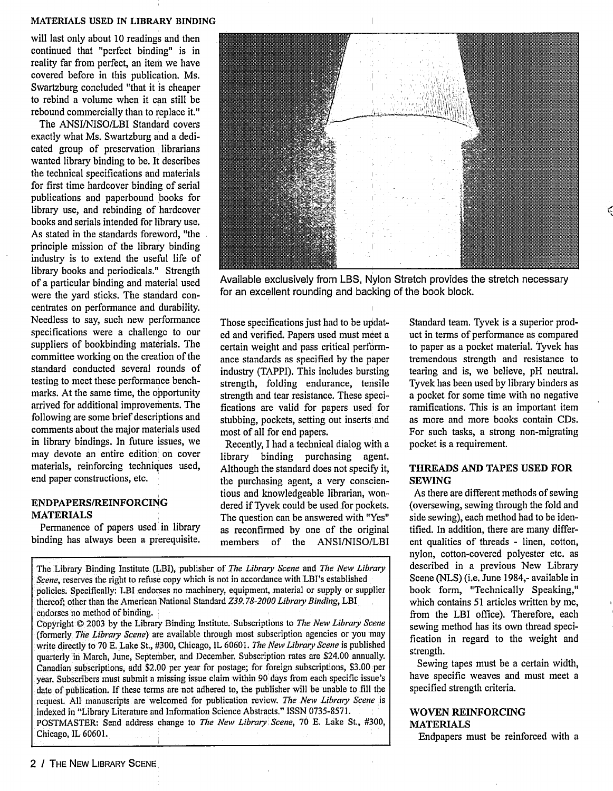#### **MATERIALS** USED IN LIBRARY BINDING

will last only about 10 readings and then continued that "perfect binding" is in reality far from perfect, an item we have covered before in this publication. Ms. Swartzburg concluded "that it is cheaper to rebind a volume when it can still be rebound commercially than to replace it."

The ANSI/NISO/LBI Standard covers exactly what Ms. Swartzburg and a dedicated group of preservation librarians wanted library binding to be. It describes the technical specifications and materials for first time hardcover binding of serial publications and paperbound books for library use, and rebinding of hardcover books and serials intended for library use. As stated in the standards foreword, "the principle mission of the library binding industry is to extend the useful life of library books and periodicals." Strength of a particular binding and material used were the yard sticks. The standard concentrates on performance and durability. Needless to say, such new performance specifications were a challenge to our suppliers of bookbinding materials. The committee working on the creation of the standard conducted several rounds of testing to meet these performance benchmarks. At the same time, the opportunity arrived for additional improvements. The following are some brief descriptions and comments about the major materials used in library bindings. In future issues, we may devote an entire edition on cover materials, reinforcing techniques used, end paper constructions, etc.

## **ENDPAPERS/REINFORCING MATERIALS**

Permanence of papers used in library binding has always been a prerequisite.



Available exclusively from LBS, Nylon Stretch provides the stretch necessary for an excellent rounding and backing of the book block.

Those specifications just had to be updated and verified. Papers used must meet a certain weight and pass critical performance standards as specified by the paper industry (TAPPI). This includes bursting strength, folding endurance, tensile strength and tear resistance. These specifications are valid for papers used for stubbing, pockets, setting out inserts and most of all for end papers.

Recently, I had a technical dialog with a library binding purchasing agent. Although the standard does not specify it, the purchasing agent, a very conscientious and knowledgeable librarian, wondered if Tyvek could be used for pockets. The question can be answered with "Yes" as reconfirmed by one of the original members of the ANSI/NISO/LBI

The Library Binding Institute (LBI), publisher of *The Library Scene* and *The New Library Scene,* reserves the right to refuse copy which is not in accordance with LBI's established policies. Specifically: LBI endorses no machinery, equipment, material or supply or supplier thereof; other than the American National Standard *Z39. 78-2000 Library Binding,* LBI endorses no method of binding.

Copyright © 2003 by the Library Binding Institute. Subscriptions to *The New Library Scene* (fonnerly *The Library Scene)* are available through most subscription agencies or you may write directly to 70 E. Lake St., #300, Chicago, IL 60601. *The New Library Scene* is published quarterly in March, June, September, and December. Subscription rates are \$24.00 annually. Canadian subscriptions, add \$2.00 per year for postage; for foreign subscriptions, \$3.00 per year. Subscribers must submit a missing issue claim within 90 days from each specific issue's date of publication. If these terms are not adhered to, the publisher will be unable to fill the request. All manuscripts are welcomed for publication review. *The New Library Scene is* indexed in "Library Literature and Information Science Abstracts." ISSN 0735-8571. POSTMASTER: Send address change to *The Newv Library Scene,* 70 E. Lake St., #300, Chicago, IL 60601.

Standard team. Tyvek is a superior product in terms of performance as compared to paper as a pocket material. Tyvek has tremendous strength and resistance to tearing and is, we believe, pH neutral. Tyvek has been used by library binders as a pocket for some time with no negative ramifications. This is an important item as more and more books contain CDs. For such tasks, a strong non-migrating pocket is a requirement.

## **THREADS AND TAPES USED FOR SEWING**

As there are different methods of sewing (oversewing, sewing through the fold and side sewing), each method had to be identified. In addition, there are many different qualities of threads - linen, cotton, nylon, cotton-covered polyester etc. as described in a previous New Library Scene (NLS) (i.e. June 1984,- available in book form, "Technically Speaking," which contains 51 articles written by me, from the LBI office). Therefore, each sewing method has its own thread specification in regard to the weight and strength.

Sewing tapes must be a certain width, have specific weaves and must meet a specified strength criteria.

## WOVEN REINFORCING MATERIALS

Endpapers must be reinforced with a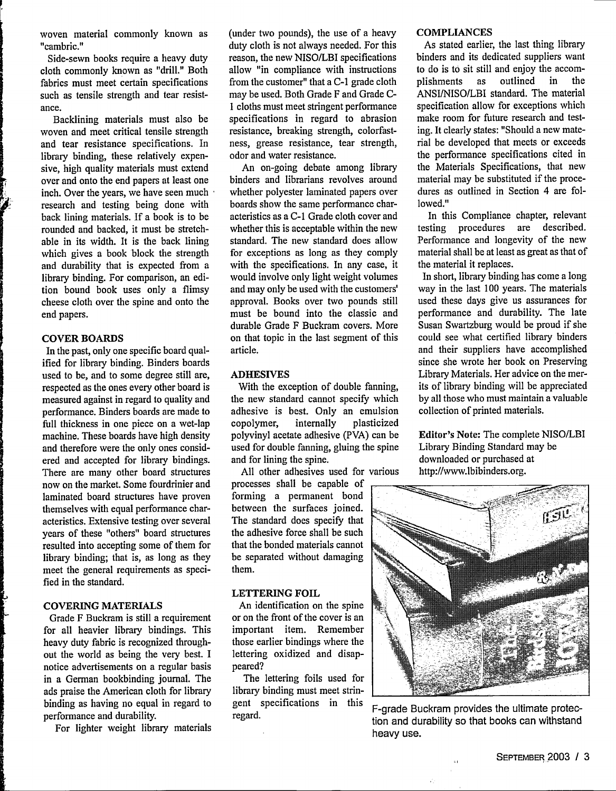woven material commonly known as "cambric."

Side-sewn books require a heavy duty cloth commonly known as "drill." Both fabrics must meet certain specifications such as tensile strength and tear resistance.

Backlining materials must also be woven and meet critical tensile strength and tear resistance specifications. In library binding, these relatively expensive, high quality materials must extend over and onto the end papers at least one inch. Over the years, we have seen much research and testing being done with back lining materials. If a book is to be rounded and backed, it must be stretchable in its width. It is the back lining which gives a book block the strength and durability that is expected from a library binding. For comparison, an edition bound book uses only a flimsy cheese cloth over the spine and onto the end papers.

#### **COVER BOARDS**

In the past, only one specific board qualified for library binding. Binders boards used to be, and to some degree still are, respected as the ones every other board is measured against in regard to quality and performance. Binders boards are made to full thickness in one piece on a wet-lap machine. These boards have high density and therefore were the only ones considered and accepted for library bindings. There are many other board structures now on the market. Some fourdrinier and laminated board structures have proven themselves with equal performance characteristics. Extensive testing over several years of these "others" board structures resulted into accepting some of them for library binding; that is, as long as they meet the general requirements as specified in the standard.

## COVERING MATERIALS

Grade F Buckram is still a requirement for all heavier library bindings. This heavy duty fabric is recognized throughout the world as being the very best. I notice advertisements on a regular basis in a German bookbinding journal. The ads praise the American cloth for library binding as having no equal in regard to performance and durability.

For lighter weight library materials

(under two pounds), the use of a heavy duty cloth is not always needed. For this reason, the new NISO/LBI specifications allow "in compliance with instructions from the customer" that a C-1 grade cloth may be used. Both Grade F and Grade C-1 cloths must meet stringent performance specifications in regard to abrasion resistance, breaking strength, colorfastness, grease resistance, tear strength, odor and water resistance.

An on-going debate among library binders and librarians revolves around whether polyester laminated papers over boards show the same performance characteristics as a C-1 Grade cloth cover and whether this is acceptable within the new standard. The new standard does allow for exceptions as long as they comply with the specifications. In any case, it would involve only light weight volumes and may only be used with the customers' approval. Books over two pounds still must be bound into the classic and durable Grade F Buckram covers. More on that topic in the last segment of this article.

### ADHESIVES

With the exception of double fanning, the new standard cannot specify which adhesive is best. Only an emulsion<br>copolymer, internally plasticized copolymer, intemally plasticized polyvinyl acetate adhesive (PVA) can be used for double fanning, gluing the spine and for lining the spine.

All other adhesives used for various processes shall be capable of forming a permanent bond between the surfaces joined. The standard does specify that the adhesive force shall be such that the bonded materials cannot

#### **LETTERING FOIL**

them.

An identification on the spine or on the front of the cover is an important item. Remember those earlier bindings where the lettering oxidized and disappeared?

be separated without damaging

The lettering foils used for library binding must meet stringent specifications in this regard.

#### COMPLIANCES

As stated earlier, the last thing library binders and its dedicated suppliers want to do is to sit still and enjoy the accom-<br>plishments as outlined in the plishments as outlined in the ANSI/NISO/LBI standard. The material specification allow for exceptions which make room for future research and testing. It clearly states: "Should a new material be developed that meets or exceeds the performance specifications cited in the Materials Specifications, that new material may be substituted if the procedures as outlined in Section 4 are followed."

In this Compliance chapter, relevant testing procedures are described. Performance and longevity of the new material shall be at least as great as that of the material it replaces.

In short, library binding has come a long way in the last 100 years. The materials used these days give us assurances for performance and durability. The late Susan Swartzburg would be proud if she could see what certified library binders and their suppliers have accomplished since she wrote her book on Preserving Library Materials. Her advice on the merits of library binding will be appreciated by all those who must maintain a valuable collection of printed materials.

Editor's Note: The complete NISO/LBI Library Binding Standard may be downloaded or purchased at http://www.lbibinders.org.



tion and durability so that books can withstand heavy use. F-grade Buckram provides the ultimate protec-